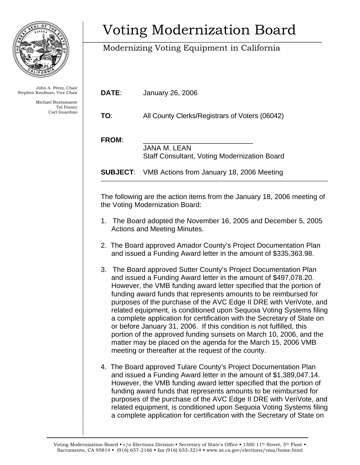

John A. Pérez, Chair Stephen Kaufman, Vice Chair

> Michael Bustamante Tal Finney Carl Guardino

## Voting Modernization Board

## Modernizing Voting Equipment in California

| DATE: | January 26, 2006 |  |
|-------|------------------|--|
|       |                  |  |

**TO**: All County Clerks/Registrars of Voters (06042)

FROM:

 JANA M. LEAN Staff Consultant, Voting Modernization Board

**SUBJECT**: VMB Actions from January 18, 2006 Meeting

The following are the action items from the January 18, 2006 meeting of the Voting Modernization Board:

- 1. The Board adopted the November 16, 2005 and December 5, 2005 Actions and Meeting Minutes.
- 2. The Board approved Amador County's Project Documentation Plan and issued a Funding Award letter in the amount of \$335,363.98.
- 3. The Board approved Sutter County's Project Documentation Plan and issued a Funding Award letter in the amount of \$497,078.20. However, the VMB funding award letter specified that the portion of funding award funds that represents amounts to be reimbursed for purposes of the purchase of the AVC Edge II DRE with VeriVote, and related equipment, is conditioned upon Sequoia Voting Systems filing a complete application for certification with the Secretary of State on or before January 31, 2006. If this condition is not fulfilled, this portion of the approved funding sunsets on March 10, 2006, and the matter may be placed on the agenda for the March 15, 2006 VMB meeting or thereafter at the request of the county.
- 4. The Board approved Tulare County's Project Documentation Plan and issued a Funding Award letter in the amount of \$1,389,047.14. However, the VMB funding award letter specified that the portion of funding award funds that represents amounts to be reimbursed for purposes of the purchase of the AVC Edge II DRE with VeriVote, and related equipment, is conditioned upon Sequoia Voting Systems filing a complete application for certification with the Secretary of State on